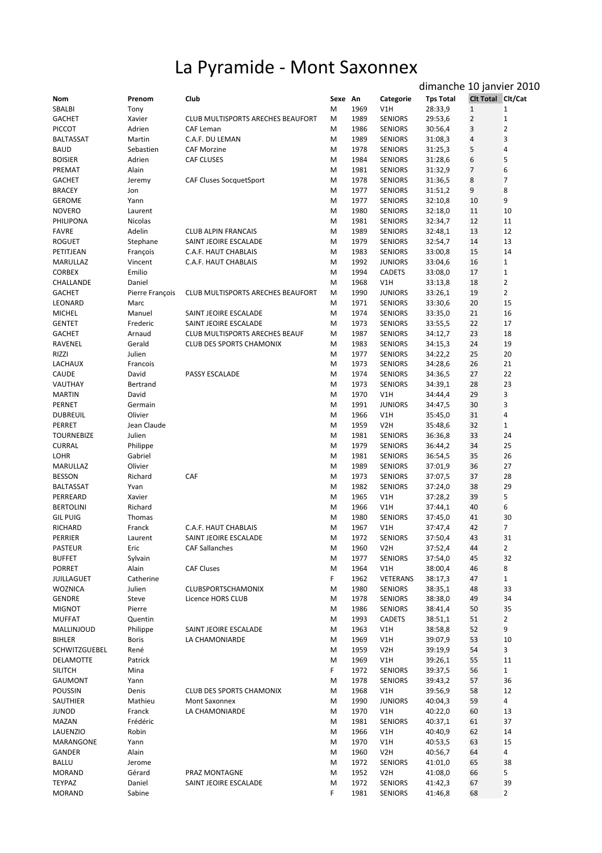## La Pyramide - Mont Saxonnex

|                                   |                         |                                   |         |              |                                  | dimanche 10 janvier 2010 |                                |                                |
|-----------------------------------|-------------------------|-----------------------------------|---------|--------------|----------------------------------|--------------------------|--------------------------------|--------------------------------|
| Nom<br><b>SBALBI</b>              | Prenom                  | Club                              | Sexe An | 1969         | Categorie<br>V1H                 | <b>Tps Total</b>         | Clt Total Clt/Cat              | $\mathbf{1}$                   |
| <b>GACHET</b>                     | Tony<br>Xavier          | CLUB MULTISPORTS ARECHES BEAUFORT | М<br>M  | 1989         | <b>SENIORS</b>                   | 28:33,9<br>29:53,6       | $\mathbf{1}$<br>$\overline{2}$ | 1                              |
| <b>PICCOT</b>                     | Adrien                  | CAF Leman                         | М       | 1986         | <b>SENIORS</b>                   | 30:56,4                  | 3                              | $\mathbf 2$                    |
| <b>BALTASSAT</b>                  | Martin                  | C.A.F. DU LEMAN                   | M       | 1989         | <b>SENIORS</b>                   | 31:08,3                  | 4                              | 3                              |
| <b>BAUD</b>                       | Sebastien               | <b>CAF Morzine</b>                | M       | 1978         | <b>SENIORS</b>                   | 31:25,3                  | 5                              | $\overline{4}$                 |
| <b>BOISIER</b>                    | Adrien                  | CAF CLUSES                        | М       | 1984         | <b>SENIORS</b>                   | 31:28,6                  | 6                              | 5                              |
| PREMAT                            | Alain                   |                                   | М       | 1981         | <b>SENIORS</b>                   | 31:32,9                  | 7                              | 6                              |
| <b>GACHET</b>                     | Jeremy                  | <b>CAF Cluses SocquetSport</b>    | М       | 1978         | <b>SENIORS</b>                   | 31:36,5                  | 8                              | 7                              |
| <b>BRACEY</b>                     | Jon                     |                                   | M       | 1977         | <b>SENIORS</b>                   | 31:51,2                  | 9                              | 8                              |
| <b>GEROME</b>                     | Yann                    |                                   | M       | 1977         | <b>SENIORS</b>                   | 32:10,8                  | 10                             | 9                              |
| <b>NOVERO</b>                     | Laurent                 |                                   | М       | 1980         | <b>SENIORS</b>                   | 32:18,0                  | 11                             | 10                             |
| PHILIPONA                         | Nicolas                 |                                   | M       | 1981         | <b>SENIORS</b>                   | 32:34,7                  | 12                             | 11                             |
| <b>FAVRE</b>                      | Adelin                  | <b>CLUB ALPIN FRANCAIS</b>        | M       | 1989         | <b>SENIORS</b>                   | 32:48,1                  | 13                             | 12                             |
| <b>ROGUET</b>                     | Stephane                | SAINT JEOIRE ESCALADE             | М       | 1979         | <b>SENIORS</b>                   | 32:54,7                  | 14                             | 13                             |
| PETITJEAN                         | François                | C.A.F. HAUT CHABLAIS              | M       | 1983         | <b>SENIORS</b>                   | 33:00,8                  | 15                             | 14                             |
| MARULLAZ                          | Vincent                 | C.A.F. HAUT CHABLAIS              | M       | 1992         | <b>JUNIORS</b>                   | 33:04,6                  | 16                             | $\mathbf{1}$                   |
| <b>CORBEX</b><br>CHALLANDE        | Emilio                  |                                   | М       | 1994         | CADETS                           | 33:08,0                  | 17                             | $\mathbf{1}$<br>$\overline{2}$ |
| <b>GACHET</b>                     | Daniel                  | CLUB MULTISPORTS ARECHES BEAUFORT | М<br>м  | 1968<br>1990 | V1H<br><b>JUNIORS</b>            | 33:13,8<br>33:26,1       | 18<br>19                       | $\overline{2}$                 |
| LEONARD                           | Pierre François<br>Marc |                                   | M       | 1971         | <b>SENIORS</b>                   | 33:30,6                  | 20                             | 15                             |
| <b>MICHEL</b>                     | Manuel                  | SAINT JEOIRE ESCALADE             | M       | 1974         | <b>SENIORS</b>                   | 33:35,0                  | 21                             | 16                             |
| <b>GENTET</b>                     | Frederic                | SAINT JEOIRE ESCALADE             | м       | 1973         | <b>SENIORS</b>                   | 33:55,5                  | 22                             | 17                             |
| <b>GACHET</b>                     | Arnaud                  | CLUB MULTISPORTS ARECHES BEAUF    | M       | 1987         | <b>SENIORS</b>                   | 34:12,7                  | 23                             | 18                             |
| RAVENEL                           | Gerald                  | <b>CLUB DES SPORTS CHAMONIX</b>   | М       | 1983         | <b>SENIORS</b>                   | 34:15,3                  | 24                             | 19                             |
| RIZZI                             | Julien                  |                                   | M       | 1977         | <b>SENIORS</b>                   | 34:22,2                  | 25                             | 20                             |
| LACHAUX                           | Francois                |                                   | M       | 1973         | <b>SENIORS</b>                   | 34:28,6                  | 26                             | 21                             |
| <b>CAUDE</b>                      | David                   | PASSY ESCALADE                    | M       | 1974         | <b>SENIORS</b>                   | 34:36,5                  | 27                             | 22                             |
| VAUTHAY                           | Bertrand                |                                   | M       | 1973         | <b>SENIORS</b>                   | 34:39,1                  | 28                             | 23                             |
| <b>MARTIN</b>                     | David                   |                                   | M       | 1970         | V1H                              | 34:44,4                  | 29                             | 3                              |
| PERNET                            | Germain                 |                                   | M       | 1991         | <b>JUNIORS</b>                   | 34:47,5                  | 30                             | 3                              |
| <b>DUBREUIL</b>                   | Olivier                 |                                   | M       | 1966         | V1H                              | 35:45,0                  | 31                             | 4                              |
| PERRET                            | Jean Claude             |                                   | M       | 1959         | V <sub>2</sub> H                 | 35:48,6                  | 32                             | $\mathbf{1}$                   |
| <b>TOURNEBIZE</b>                 | Julien                  |                                   | M       | 1981         | <b>SENIORS</b>                   | 36:36,8                  | 33                             | 24                             |
| <b>CURRAL</b>                     | Philippe                |                                   | M       | 1979         | <b>SENIORS</b>                   | 36:44,2                  | 34                             | 25                             |
| <b>LOHR</b>                       | Gabriel                 |                                   | M       | 1981         | <b>SENIORS</b>                   | 36:54,5                  | 35                             | 26                             |
| MARULLAZ                          | Olivier                 |                                   | M       | 1989         | <b>SENIORS</b>                   | 37:01,9                  | 36                             | 27                             |
| <b>BESSON</b><br><b>BALTASSAT</b> | Richard<br>Yvan         | CAF                               | M<br>M  | 1973<br>1982 | <b>SENIORS</b><br><b>SENIORS</b> | 37:07,5<br>37:24,0       | 37<br>38                       | 28<br>29                       |
| PERREARD                          | Xavier                  |                                   | M       | 1965         | V1H                              | 37:28,2                  | 39                             | 5                              |
| <b>BERTOLINI</b>                  | Richard                 |                                   | M       | 1966         | V1H                              | 37:44,1                  | 40                             | 6                              |
| <b>GIL PUIG</b>                   | Thomas                  |                                   | M       | 1980         | <b>SENIORS</b>                   | 37:45,0                  | 41                             | 30                             |
| RICHARD                           | Franck                  | C.A.F. HAUT CHABLAIS              | м       | 1967         | V1H                              | 37:47.4                  | 42                             | 7                              |
| PERRIER                           | Laurent                 | SAINT JEOIRE ESCALADE             | M       | 1972         | <b>SENIORS</b>                   | 37:50,4                  | 43                             | 31                             |
| PASTEUR                           | Eric                    | <b>CAF Sallanches</b>             | M       | 1960         | V <sub>2</sub> H                 | 37:52,4                  | 44                             | $\overline{2}$                 |
| <b>BUFFET</b>                     | Sylvain                 |                                   | M       | 1977         | <b>SENIORS</b>                   | 37:54,0                  | 45                             | 32                             |
| <b>PORRET</b>                     | Alain                   | <b>CAF Cluses</b>                 | M       | 1964         | V1H                              | 38:00,4                  | 46                             | 8                              |
| <b>JUILLAGUET</b>                 | Catherine               |                                   | F.      | 1962         | VETERANS                         | 38:17,3                  | 47                             | $\mathbf{1}$                   |
| <b>WOZNICA</b>                    | Julien                  | CLUBSPORTSCHAMONIX                | M       | 1980         | <b>SENIORS</b>                   | 38:35,1                  | 48                             | 33                             |
| GENDRE                            | Steve                   | Licence HORS CLUB                 | M       | 1978         | <b>SENIORS</b>                   | 38:38,0                  | 49                             | 34                             |
| <b>MIGNOT</b>                     | Pierre                  |                                   | M       | 1986         | <b>SENIORS</b>                   | 38:41,4                  | 50                             | 35                             |
| <b>MUFFAT</b>                     | Quentin                 |                                   | M       | 1993         | CADETS                           | 38:51,1                  | 51                             | $\overline{2}$                 |
| MALLINJOUD                        | Philippe                | SAINT JEOIRE ESCALADE             | M       | 1963         | V1H                              | 38:58,8                  | 52                             | 9                              |
| <b>BIHLER</b>                     | <b>Boris</b>            | LA CHAMONIARDE                    | M       | 1969         | V1H                              | 39:07,9                  | 53                             | 10                             |
| SCHWITZGUEBEL<br>DELAMOTTE        | René<br>Patrick         |                                   | M<br>M  | 1959<br>1969 | V <sub>2</sub> H<br>V1H          | 39:19,9<br>39:26,1       | 54<br>55                       | 3<br>11                        |
| <b>SILITCH</b>                    | Mina                    |                                   | F.      | 1972         | <b>SENIORS</b>                   | 39:37,5                  | 56                             | $\mathbf{1}$                   |
| <b>GAUMONT</b>                    | Yann                    |                                   | M       | 1978         | <b>SENIORS</b>                   | 39:43,2                  | 57                             | 36                             |
| POUSSIN                           | Denis                   | <b>CLUB DES SPORTS CHAMONIX</b>   | M       | 1968         | V1H                              | 39:56,9                  | 58                             | 12                             |
| SAUTHIER                          | Mathieu                 | Mont Saxonnex                     | M       | 1990         | <b>JUNIORS</b>                   | 40:04,3                  | 59                             | 4                              |
| <b>JUNOD</b>                      | Franck                  | LA CHAMONIARDE                    | M       | 1970         | V1H                              | 40:22,0                  | 60                             | 13                             |
| MAZAN                             | Frédéric                |                                   | M       | 1981         | <b>SENIORS</b>                   | 40:37,1                  | 61                             | 37                             |
| LAUENZIO                          | Robin                   |                                   | M       | 1966         | V1H                              | 40:40,9                  | 62                             | 14                             |
| MARANGONE                         | Yann                    |                                   | M       | 1970         | V1H                              | 40:53,5                  | 63                             | 15                             |
| GANDER                            | Alain                   |                                   | M       | 1960         | V <sub>2</sub> H                 | 40:56,7                  | 64                             | 4                              |
| <b>BALLU</b>                      | Jerome                  |                                   | M       | 1972         | <b>SENIORS</b>                   | 41:01,0                  | 65                             | 38                             |
| <b>MORAND</b>                     | Gérard                  | PRAZ MONTAGNE                     | M       | 1952         | V <sub>2</sub> H                 | 41:08,0                  | 66                             | 5                              |
| <b>TEYPAZ</b>                     | Daniel                  | SAINT JEOIRE ESCALADE             | M       | 1972         | <b>SENIORS</b>                   | 41:42,3                  | 67                             | 39                             |
| <b>MORAND</b>                     | Sabine                  |                                   | F.      | 1981         | <b>SENIORS</b>                   | 41:46,8                  | 68                             | $\overline{2}$                 |